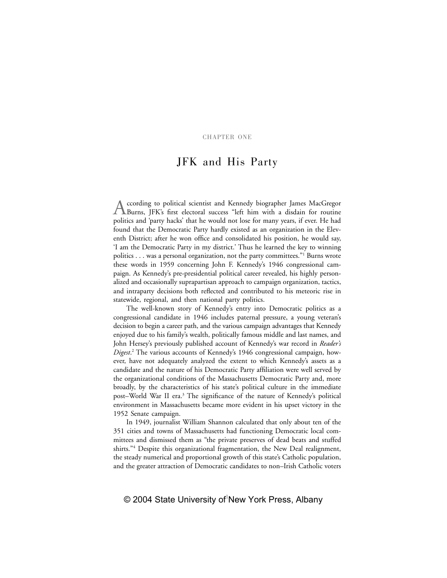#### CHAPTER ONE

# JFK and His Party

According to political scientist and Kennedy biographer James MacGregor<br>Burns, JFK's first electoral success "left him with a disdain for routine politics and 'party hacks' that he would not lose for many years, if ever. He had found that the Democratic Party hardly existed as an organization in the Eleventh District; after he won office and consolidated his position, he would say, 'I am the Democratic Party in my district.' Thus he learned the key to winning politics . . . was a personal organization, not the party committees."1 Burns wrote these words in 1959 concerning John F. Kennedy's 1946 congressional campaign. As Kennedy's pre-presidential political career revealed, his highly personalized and occasionally suprapartisan approach to campaign organization, tactics, and intraparty decisions both reflected and contributed to his meteoric rise in statewide, regional, and then national party politics.

The well-known story of Kennedy's entry into Democratic politics as a congressional candidate in 1946 includes paternal pressure, a young veteran's decision to begin a career path, and the various campaign advantages that Kennedy enjoyed due to his family's wealth, politically famous middle and last names, and John Hersey's previously published account of Kennedy's war record in *Reader's Digest*. <sup>2</sup> The various accounts of Kennedy's 1946 congressional campaign, however, have not adequately analyzed the extent to which Kennedy's assets as a candidate and the nature of his Democratic Party affiliation were well served by the organizational conditions of the Massachusetts Democratic Party and, more broadly, by the characteristics of his state's political culture in the immediate post–World War II era.<sup>3</sup> The significance of the nature of Kennedy's political environment in Massachusetts became more evident in his upset victory in the 1952 Senate campaign.

In 1949, journalist William Shannon calculated that only about ten of the 351 cities and towns of Massachusetts had functioning Democratic local committees and dismissed them as "the private preserves of dead beats and stuffed shirts."4 Despite this organizational fragmentation, the New Deal realignment, the steady numerical and proportional growth of this state's Catholic population, and the greater attraction of Democratic candidates to non–Irish Catholic voters

## © 2004 State University of<sup>1</sup>New York Press, Albany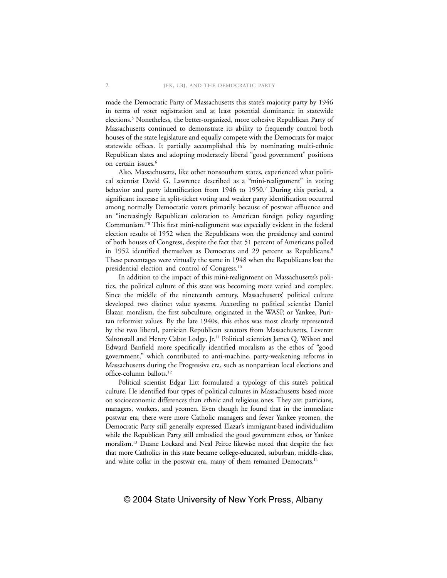made the Democratic Party of Massachusetts this state's majority party by 1946 in terms of voter registration and at least potential dominance in statewide elections.<sup>5</sup> Nonetheless, the better-organized, more cohesive Republican Party of Massachusetts continued to demonstrate its ability to frequently control both houses of the state legislature and equally compete with the Democrats for major statewide offices. It partially accomplished this by nominating multi-ethnic Republican slates and adopting moderately liberal "good government" positions on certain issues.<sup>6</sup>

Also, Massachusetts, like other nonsouthern states, experienced what political scientist David G. Lawrence described as a "mini-realignment" in voting behavior and party identification from 1946 to 1950.<sup>7</sup> During this period, a significant increase in split-ticket voting and weaker party identification occurred among normally Democratic voters primarily because of postwar affluence and an "increasingly Republican coloration to American foreign policy regarding Communism."8 This first mini-realignment was especially evident in the federal election results of 1952 when the Republicans won the presidency and control of both houses of Congress, despite the fact that 51 percent of Americans polled in 1952 identified themselves as Democrats and 29 percent as Republicans.<sup>9</sup> These percentages were virtually the same in 1948 when the Republicans lost the presidential election and control of Congress.10

In addition to the impact of this mini-realignment on Massachusetts's politics, the political culture of this state was becoming more varied and complex. Since the middle of the nineteenth century, Massachusetts' political culture developed two distinct value systems. According to political scientist Daniel Elazar, moralism, the first subculture, originated in the WASP, or Yankee, Puritan reformist values. By the late 1940s, this ethos was most clearly represented by the two liberal, patrician Republican senators from Massachusetts, Leverett Saltonstall and Henry Cabot Lodge, Jr.<sup>11</sup> Political scientists James Q. Wilson and Edward Banfield more specifically identified moralism as the ethos of "good government," which contributed to anti-machine, party-weakening reforms in Massachusetts during the Progressive era, such as nonpartisan local elections and office-column ballots.12

Political scientist Edgar Litt formulated a typology of this state's political culture. He identified four types of political cultures in Massachusetts based more on socioeconomic differences than ethnic and religious ones. They are: patricians, managers, workers, and yeomen. Even though he found that in the immediate postwar era, there were more Catholic managers and fewer Yankee yeomen, the Democratic Party still generally expressed Elazar's immigrant-based individualism while the Republican Party still embodied the good government ethos, or Yankee moralism.13 Duane Lockard and Neal Peirce likewise noted that despite the fact that more Catholics in this state became college-educated, suburban, middle-class, and white collar in the postwar era, many of them remained Democrats.<sup>14</sup>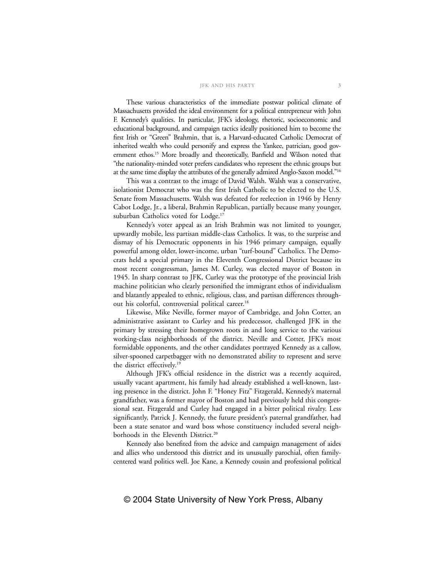These various characteristics of the immediate postwar political climate of Massachusetts provided the ideal environment for a political entrepreneur with John F. Kennedy's qualities. In particular, JFK's ideology, rhetoric, socioeconomic and educational background, and campaign tactics ideally positioned him to become the first Irish or "Green" Brahmin, that is, a Harvard-educated Catholic Democrat of inherited wealth who could personify and express the Yankee, patrician, good government ethos.<sup>15</sup> More broadly and theoretically, Banfield and Wilson noted that "the nationality-minded voter prefers candidates who represent the ethnic groups but at the same time display the attributes of the generally admired Anglo-Saxon model."16

This was a contrast to the image of David Walsh. Walsh was a conservative, isolationist Democrat who was the first Irish Catholic to be elected to the U.S. Senate from Massachusetts. Walsh was defeated for reelection in 1946 by Henry Cabot Lodge, Jr., a liberal, Brahmin Republican, partially because many younger, suburban Catholics voted for Lodge.<sup>17</sup>

Kennedy's voter appeal as an Irish Brahmin was not limited to younger, upwardly mobile, less partisan middle-class Catholics. It was, to the surprise and dismay of his Democratic opponents in his 1946 primary campaign, equally powerful among older, lower-income, urban "turf-bound" Catholics. The Democrats held a special primary in the Eleventh Congressional District because its most recent congressman, James M. Curley, was elected mayor of Boston in 1945. In sharp contrast to JFK, Curley was the prototype of the provincial Irish machine politician who clearly personified the immigrant ethos of individualism and blatantly appealed to ethnic, religious, class, and partisan differences throughout his colorful, controversial political career.<sup>18</sup>

Likewise, Mike Neville, former mayor of Cambridge, and John Cotter, an administrative assistant to Curley and his predecessor, challenged JFK in the primary by stressing their homegrown roots in and long service to the various working-class neighborhoods of the district. Neville and Cotter, JFK's most formidable opponents, and the other candidates portrayed Kennedy as a callow, silver-spooned carpetbagger with no demonstrated ability to represent and serve the district effectively.19

Although JFK's official residence in the district was a recently acquired, usually vacant apartment, his family had already established a well-known, lasting presence in the district. John F. "Honey Fitz" Fitzgerald, Kennedy's maternal grandfather, was a former mayor of Boston and had previously held this congressional seat. Fitzgerald and Curley had engaged in a bitter political rivalry. Less significantly, Patrick J. Kennedy, the future president's paternal grandfather, had been a state senator and ward boss whose constituency included several neighborhoods in the Eleventh District.<sup>20</sup>

Kennedy also benefited from the advice and campaign management of aides and allies who understood this district and its unusually parochial, often familycentered ward politics well. Joe Kane, a Kennedy cousin and professional political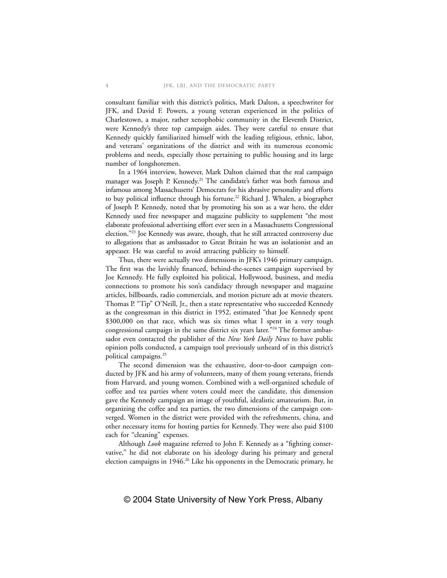consultant familiar with this district's politics, Mark Dalton, a speechwriter for JFK, and David F. Powers, a young veteran experienced in the politics of Charlestown, a major, rather xenophobic community in the Eleventh District, were Kennedy's three top campaign aides. They were careful to ensure that Kennedy quickly familiarized himself with the leading religious, ethnic, labor, and veterans' organizations of the district and with its numerous economic problems and needs, especially those pertaining to public housing and its large number of longshoremen.

In a 1964 interview, however, Mark Dalton claimed that the real campaign manager was Joseph P. Kennedy.<sup>21</sup> The candidate's father was both famous and infamous among Massachusetts' Democrats for his abrasive personality and efforts to buy political influence through his fortune.<sup>22</sup> Richard J. Whalen, a biographer of Joseph P. Kennedy, noted that by promoting his son as a war hero, the elder Kennedy used free newspaper and magazine publicity to supplement "the most elaborate professional advertising effort ever seen in a Massachusetts Congressional election."23 Joe Kennedy was aware, though, that he still attracted controversy due to allegations that as ambassador to Great Britain he was an isolationist and an appeaser. He was careful to avoid attracting publicity to himself.

Thus, there were actually two dimensions in JFK's 1946 primary campaign. The first was the lavishly financed, behind-the-scenes campaign supervised by Joe Kennedy. He fully exploited his political, Hollywood, business, and media connections to promote his son's candidacy through newspaper and magazine articles, billboards, radio commercials, and motion picture ads at movie theaters. Thomas P. "Tip" O'Neill, Jr., then a state representative who succeeded Kennedy as the congressman in this district in 1952, estimated "that Joe Kennedy spent \$300,000 on that race, which was six times what I spent in a very tough congressional campaign in the same district six years later."24 The former ambassador even contacted the publisher of the *New York Daily News* to have public opinion polls conducted, a campaign tool previously unheard of in this district's political campaigns.25

The second dimension was the exhaustive, door-to-door campaign conducted by JFK and his army of volunteers, many of them young veterans, friends from Harvard, and young women. Combined with a well-organized schedule of coffee and tea parties where voters could meet the candidate, this dimension gave the Kennedy campaign an image of youthful, idealistic amateurism. But, in organizing the coffee and tea parties, the two dimensions of the campaign converged. Women in the district were provided with the refreshments, china, and other necessary items for hosting parties for Kennedy. They were also paid \$100 each for "cleaning" expenses.

Although *Look* magazine referred to John F. Kennedy as a "fighting conservative," he did not elaborate on his ideology during his primary and general election campaigns in 1946.<sup>26</sup> Like his opponents in the Democratic primary, he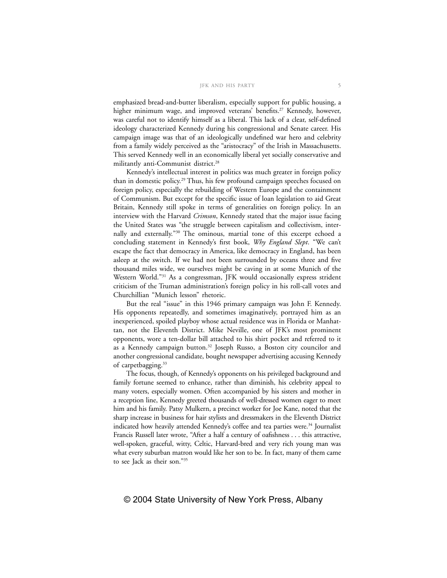emphasized bread-and-butter liberalism, especially support for public housing, a higher minimum wage, and improved veterans' benefits.<sup>27</sup> Kennedy, however, was careful not to identify himself as a liberal. This lack of a clear, self-defined ideology characterized Kennedy during his congressional and Senate career. His campaign image was that of an ideologically undefined war hero and celebrity from a family widely perceived as the "aristocracy" of the Irish in Massachusetts. This served Kennedy well in an economically liberal yet socially conservative and militantly anti-Communist district.<sup>28</sup>

Kennedy's intellectual interest in politics was much greater in foreign policy than in domestic policy.29 Thus, his few profound campaign speeches focused on foreign policy, especially the rebuilding of Western Europe and the containment of Communism. But except for the specific issue of loan legislation to aid Great Britain, Kennedy still spoke in terms of generalities on foreign policy. In an interview with the Harvard *Crimson*, Kennedy stated that the major issue facing the United States was "the struggle between capitalism and collectivism, internally and externally."30 The ominous, martial tone of this excerpt echoed a concluding statement in Kennedy's first book, *Why England Slept*. "We can't escape the fact that democracy in America, like democracy in England, has been asleep at the switch. If we had not been surrounded by oceans three and five thousand miles wide, we ourselves might be caving in at some Munich of the Western World."<sup>31</sup> As a congressman, JFK would occasionally express strident criticism of the Truman administration's foreign policy in his roll-call votes and Churchillian "Munich lesson" rhetoric.

But the real "issue" in this 1946 primary campaign was John F. Kennedy. His opponents repeatedly, and sometimes imaginatively, portrayed him as an inexperienced, spoiled playboy whose actual residence was in Florida or Manhattan, not the Eleventh District. Mike Neville, one of JFK's most prominent opponents, wore a ten-dollar bill attached to his shirt pocket and referred to it as a Kennedy campaign button.<sup>32</sup> Joseph Russo, a Boston city councilor and another congressional candidate, bought newspaper advertising accusing Kennedy of carpetbagging.<sup>33</sup>

The focus, though, of Kennedy's opponents on his privileged background and family fortune seemed to enhance, rather than diminish, his celebrity appeal to many voters, especially women. Often accompanied by his sisters and mother in a reception line, Kennedy greeted thousands of well-dressed women eager to meet him and his family. Patsy Mulkern, a precinct worker for Joe Kane, noted that the sharp increase in business for hair stylists and dressmakers in the Eleventh District indicated how heavily attended Kennedy's coffee and tea parties were.<sup>34</sup> Journalist Francis Russell later wrote, "After a half a century of oafishness . . . this attractive, well-spoken, graceful, witty, Celtic, Harvard-bred and very rich young man was what every suburban matron would like her son to be. In fact, many of them came to see Jack as their son."35

## © 2004 State University of New York Press, Albany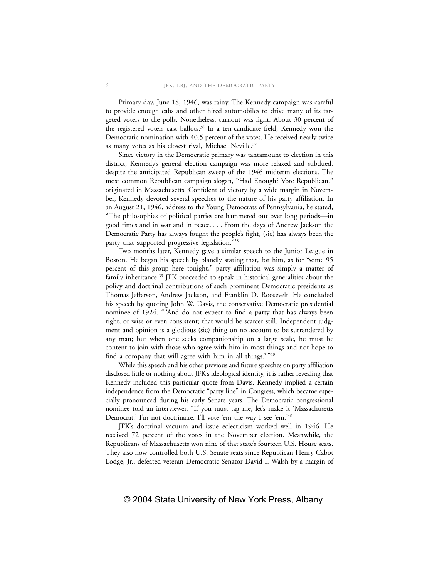Primary day, June 18, 1946, was rainy. The Kennedy campaign was careful to provide enough cabs and other hired automobiles to drive many of its targeted voters to the polls. Nonetheless, turnout was light. About 30 percent of the registered voters cast ballots.<sup>36</sup> In a ten-candidate field, Kennedy won the Democratic nomination with 40.5 percent of the votes. He received nearly twice as many votes as his closest rival, Michael Neville.<sup>37</sup>

Since victory in the Democratic primary was tantamount to election in this district, Kennedy's general election campaign was more relaxed and subdued, despite the anticipated Republican sweep of the 1946 midterm elections. The most common Republican campaign slogan, "Had Enough? Vote Republican," originated in Massachusetts. Confident of victory by a wide margin in November, Kennedy devoted several speeches to the nature of his party affiliation. In an August 21, 1946, address to the Young Democrats of Pennsylvania, he stated, "The philosophies of political parties are hammered out over long periods—in good times and in war and in peace. . . . From the days of Andrew Jackson the Democratic Party has always fought the people's fight, (sic) has always been the party that supported progressive legislation."38

Two months later, Kennedy gave a similar speech to the Junior League in Boston. He began his speech by blandly stating that, for him, as for "some 95 percent of this group here tonight," party affiliation was simply a matter of family inheritance.<sup>39</sup> JFK proceeded to speak in historical generalities about the policy and doctrinal contributions of such prominent Democratic presidents as Thomas Jefferson, Andrew Jackson, and Franklin D. Roosevelt. He concluded his speech by quoting John W. Davis, the conservative Democratic presidential nominee of 1924. " 'And do not expect to find a party that has always been right, or wise or even consistent; that would be scarcer still. Independent judgment and opinion is a glodious (sic) thing on no account to be surrendered by any man; but when one seeks companionship on a large scale, he must be content to join with those who agree with him in most things and not hope to find a company that will agree with him in all things.'  $\frac{1}{40}$ 

While this speech and his other previous and future speeches on party affiliation disclosed little or nothing about JFK's ideological identity, it is rather revealing that Kennedy included this particular quote from Davis. Kennedy implied a certain independence from the Democratic "party line" in Congress, which became especially pronounced during his early Senate years. The Democratic congressional nominee told an interviewer, "If you must tag me, let's make it 'Massachusetts Democrat.' I'm not doctrinaire. I'll vote 'em the way I see 'em."<sup>41</sup>

JFK's doctrinal vacuum and issue eclecticism worked well in 1946. He received 72 percent of the votes in the November election. Meanwhile, the Republicans of Massachusetts won nine of that state's fourteen U.S. House seats. They also now controlled both U.S. Senate seats since Republican Henry Cabot Lodge, Jr., defeated veteran Democratic Senator David I. Walsh by a margin of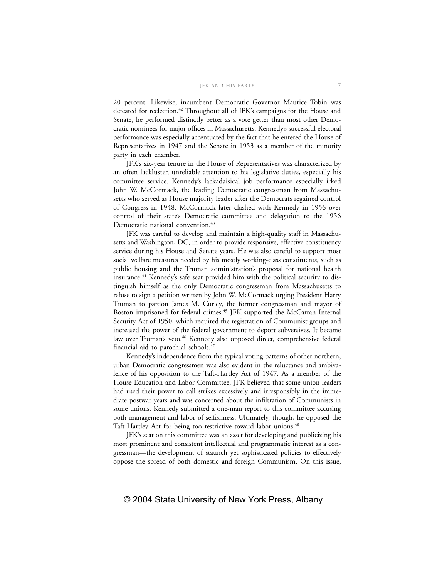20 percent. Likewise, incumbent Democratic Governor Maurice Tobin was defeated for reelection.<sup>42</sup> Throughout all of JFK's campaigns for the House and Senate, he performed distinctly better as a vote getter than most other Democratic nominees for major offices in Massachusetts. Kennedy's successful electoral performance was especially accentuated by the fact that he entered the House of Representatives in 1947 and the Senate in 1953 as a member of the minority party in each chamber.

JFK's six-year tenure in the House of Representatives was characterized by an often lackluster, unreliable attention to his legislative duties, especially his committee service. Kennedy's lackadaisical job performance especially irked John W. McCormack, the leading Democratic congressman from Massachusetts who served as House majority leader after the Democrats regained control of Congress in 1948. McCormack later clashed with Kennedy in 1956 over control of their state's Democratic committee and delegation to the 1956 Democratic national convention.<sup>43</sup>

JFK was careful to develop and maintain a high-quality staff in Massachusetts and Washington, DC, in order to provide responsive, effective constituency service during his House and Senate years. He was also careful to support most social welfare measures needed by his mostly working-class constituents, such as public housing and the Truman administration's proposal for national health insurance.44 Kennedy's safe seat provided him with the political security to distinguish himself as the only Democratic congressman from Massachusetts to refuse to sign a petition written by John W. McCormack urging President Harry Truman to pardon James M. Curley, the former congressman and mayor of Boston imprisoned for federal crimes.<sup>45</sup> JFK supported the McCarran Internal Security Act of 1950, which required the registration of Communist groups and increased the power of the federal government to deport subversives. It became law over Truman's veto.<sup>46</sup> Kennedy also opposed direct, comprehensive federal financial aid to parochial schools.<sup>47</sup>

Kennedy's independence from the typical voting patterns of other northern, urban Democratic congressmen was also evident in the reluctance and ambivalence of his opposition to the Taft-Hartley Act of 1947. As a member of the House Education and Labor Committee, JFK believed that some union leaders had used their power to call strikes excessively and irresponsibly in the immediate postwar years and was concerned about the infiltration of Communists in some unions. Kennedy submitted a one-man report to this committee accusing both management and labor of selfishness. Ultimately, though, he opposed the Taft-Hartley Act for being too restrictive toward labor unions.<sup>48</sup>

JFK's seat on this committee was an asset for developing and publicizing his most prominent and consistent intellectual and programmatic interest as a congressman—the development of staunch yet sophisticated policies to effectively oppose the spread of both domestic and foreign Communism. On this issue,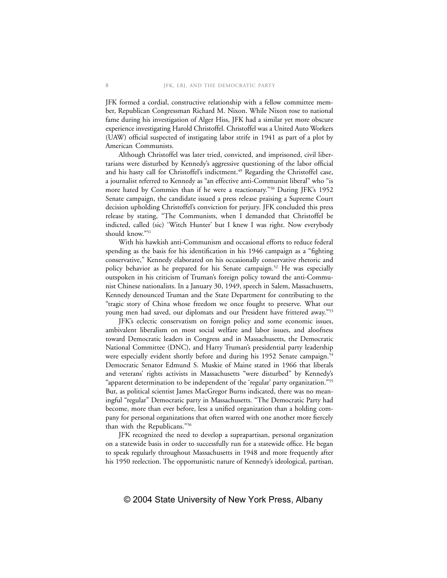JFK formed a cordial, constructive relationship with a fellow committee member, Republican Congressman Richard M. Nixon. While Nixon rose to national fame during his investigation of Alger Hiss, JFK had a similar yet more obscure experience investigating Harold Christoffel. Christoffel was a United Auto Workers (UAW) official suspected of instigating labor strife in 1941 as part of a plot by American Communists.

Although Christoffel was later tried, convicted, and imprisoned, civil libertarians were disturbed by Kennedy's aggressive questioning of the labor official and his hasty call for Christoffel's indictment.<sup>49</sup> Regarding the Christoffel case, a journalist referred to Kennedy as "an effective anti-Communist liberal" who "is more hated by Commies than if he were a reactionary."50 During JFK's 1952 Senate campaign, the candidate issued a press release praising a Supreme Court decision upholding Christoffel's conviction for perjury. JFK concluded this press release by stating, "The Communists, when I demanded that Christoffel be indicted, called (sic) 'Witch Hunter' but I knew I was right. Now everybody should know."51

With his hawkish anti-Communism and occasional efforts to reduce federal spending as the basis for his identification in his 1946 campaign as a "fighting conservative," Kennedy elaborated on his occasionally conservative rhetoric and policy behavior as he prepared for his Senate campaign.<sup>52</sup> He was especially outspoken in his criticism of Truman's foreign policy toward the anti-Communist Chinese nationalists. In a January 30, 1949, speech in Salem, Massachusetts, Kennedy denounced Truman and the State Department for contributing to the "tragic story of China whose freedom we once fought to preserve. What our young men had saved, our diplomats and our President have frittered away."53

JFK's eclectic conservatism on foreign policy and some economic issues, ambivalent liberalism on most social welfare and labor issues, and aloofness toward Democratic leaders in Congress and in Massachusetts, the Democratic National Committee (DNC), and Harry Truman's presidential party leadership were especially evident shortly before and during his 1952 Senate campaign.<sup>54</sup> Democratic Senator Edmund S. Muskie of Maine stated in 1966 that liberals and veterans' rights activists in Massachusetts "were disturbed" by Kennedy's "apparent determination to be independent of the 'regular' party organization."55 But, as political scientist James MacGregor Burns indicated, there was no meaningful "regular" Democratic party in Massachusetts. "The Democratic Party had become, more than ever before, less a unified organization than a holding company for personal organizations that often warred with one another more fiercely than with the Republicans."56

JFK recognized the need to develop a suprapartisan, personal organization on a statewide basis in order to successfully run for a statewide office. He began to speak regularly throughout Massachusetts in 1948 and more frequently after his 1950 reelection. The opportunistic nature of Kennedy's ideological, partisan,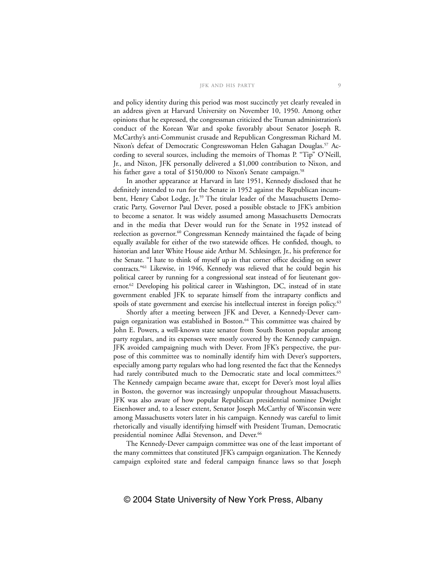and policy identity during this period was most succinctly yet clearly revealed in an address given at Harvard University on November 10, 1950. Among other opinions that he expressed, the congressman criticized the Truman administration's conduct of the Korean War and spoke favorably about Senator Joseph R. McCarthy's anti-Communist crusade and Republican Congressman Richard M. Nixon's defeat of Democratic Congresswoman Helen Gahagan Douglas.<sup>57</sup> According to several sources, including the memoirs of Thomas P. "Tip" O'Neill, Jr., and Nixon, JFK personally delivered a \$1,000 contribution to Nixon, and his father gave a total of \$150,000 to Nixon's Senate campaign.<sup>58</sup>

In another appearance at Harvard in late 1951, Kennedy disclosed that he definitely intended to run for the Senate in 1952 against the Republican incumbent, Henry Cabot Lodge, Jr.<sup>59</sup> The titular leader of the Massachusetts Democratic Party, Governor Paul Dever, posed a possible obstacle to JFK's ambition to become a senator. It was widely assumed among Massachusetts Democrats and in the media that Dever would run for the Senate in 1952 instead of reelection as governor.<sup>60</sup> Congressman Kennedy maintained the façade of being equally available for either of the two statewide offices. He confided, though, to historian and later White House aide Arthur M. Schlesinger, Jr., his preference for the Senate. "I hate to think of myself up in that corner office deciding on sewer contracts."61 Likewise, in 1946, Kennedy was relieved that he could begin his political career by running for a congressional seat instead of for lieutenant governor.62 Developing his political career in Washington, DC, instead of in state government enabled JFK to separate himself from the intraparty conflicts and spoils of state government and exercise his intellectual interest in foreign policy.<sup>63</sup>

Shortly after a meeting between JFK and Dever, a Kennedy-Dever campaign organization was established in Boston.<sup>64</sup> This committee was chaired by John E. Powers, a well-known state senator from South Boston popular among party regulars, and its expenses were mostly covered by the Kennedy campaign. JFK avoided campaigning much with Dever. From JFK's perspective, the purpose of this committee was to nominally identify him with Dever's supporters, especially among party regulars who had long resented the fact that the Kennedys had rarely contributed much to the Democratic state and local committees.<sup>65</sup> The Kennedy campaign became aware that, except for Dever's most loyal allies in Boston, the governor was increasingly unpopular throughout Massachusetts. JFK was also aware of how popular Republican presidential nominee Dwight Eisenhower and, to a lesser extent, Senator Joseph McCarthy of Wisconsin were among Massachusetts voters later in his campaign. Kennedy was careful to limit rhetorically and visually identifying himself with President Truman, Democratic presidential nominee Adlai Stevenson, and Dever.<sup>66</sup>

The Kennedy-Dever campaign committee was one of the least important of the many committees that constituted JFK's campaign organization. The Kennedy campaign exploited state and federal campaign finance laws so that Joseph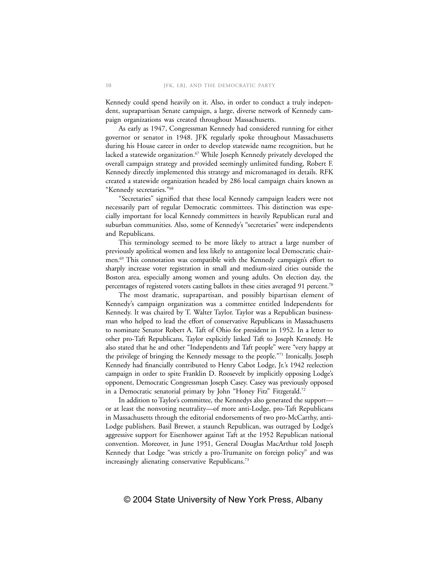Kennedy could spend heavily on it. Also, in order to conduct a truly independent, suprapartisan Senate campaign, a large, diverse network of Kennedy campaign organizations was created throughout Massachusetts.

As early as 1947, Congressman Kennedy had considered running for either governor or senator in 1948. JFK regularly spoke throughout Massachusetts during his House career in order to develop statewide name recognition, but he lacked a statewide organization.<sup>67</sup> While Joseph Kennedy privately developed the overall campaign strategy and provided seemingly unlimited funding, Robert F. Kennedy directly implemented this strategy and micromanaged its details. RFK created a statewide organization headed by 286 local campaign chairs known as "Kennedy secretaries."68

"Secretaries" signified that these local Kennedy campaign leaders were not necessarily part of regular Democratic committees. This distinction was especially important for local Kennedy committees in heavily Republican rural and suburban communities. Also, some of Kennedy's "secretaries" were independents and Republicans.

This terminology seemed to be more likely to attract a large number of previously apolitical women and less likely to antagonize local Democratic chairmen.<sup>69</sup> This connotation was compatible with the Kennedy campaign's effort to sharply increase voter registration in small and medium-sized cities outside the Boston area, especially among women and young adults. On election day, the percentages of registered voters casting ballots in these cities averaged 91 percent.<sup>70</sup>

The most dramatic, suprapartisan, and possibly bipartisan element of Kennedy's campaign organization was a committee entitled Independents for Kennedy. It was chaired by T. Walter Taylor. Taylor was a Republican businessman who helped to lead the effort of conservative Republicans in Massachusetts to nominate Senator Robert A. Taft of Ohio for president in 1952. In a letter to other pro-Taft Republicans, Taylor explicitly linked Taft to Joseph Kennedy. He also stated that he and other "Independents and Taft people" were "very happy at the privilege of bringing the Kennedy message to the people."71 Ironically, Joseph Kennedy had financially contributed to Henry Cabot Lodge, Jr.'s 1942 reelection campaign in order to spite Franklin D. Roosevelt by implicitly opposing Lodge's opponent, Democratic Congressman Joseph Casey. Casey was previously opposed in a Democratic senatorial primary by John "Honey Fitz" Fitzgerald.<sup>72</sup>

In addition to Taylor's committee, the Kennedys also generated the support or at least the nonvoting neutrality—of more anti-Lodge, pro-Taft Republicans in Massachusetts through the editorial endorsements of two pro-McCarthy, anti-Lodge publishers. Basil Brewer, a staunch Republican, was outraged by Lodge's aggressive support for Eisenhower against Taft at the 1952 Republican national convention. Moreover, in June 1951, General Douglas MacArthur told Joseph Kennedy that Lodge "was strictly a pro-Trumanite on foreign policy" and was increasingly alienating conservative Republicans.<sup>73</sup>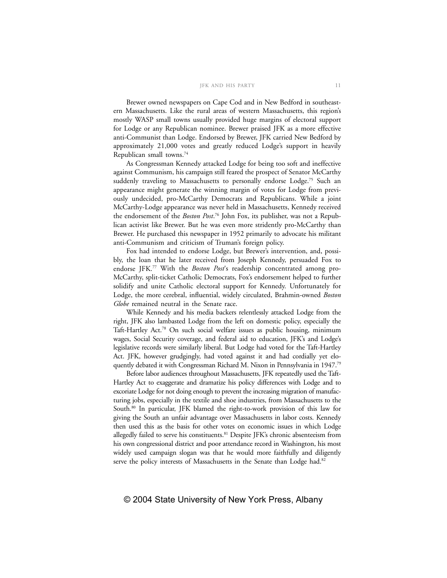Brewer owned newspapers on Cape Cod and in New Bedford in southeastern Massachusetts. Like the rural areas of western Massachusetts, this region's mostly WASP small towns usually provided huge margins of electoral support for Lodge or any Republican nominee. Brewer praised JFK as a more effective anti-Communist than Lodge. Endorsed by Brewer, JFK carried New Bedford by approximately 21,000 votes and greatly reduced Lodge's support in heavily Republican small towns.74

As Congressman Kennedy attacked Lodge for being too soft and ineffective against Communism, his campaign still feared the prospect of Senator McCarthy suddenly traveling to Massachusetts to personally endorse Lodge.<sup>75</sup> Such an appearance might generate the winning margin of votes for Lodge from previously undecided, pro-McCarthy Democrats and Republicans. While a joint McCarthy-Lodge appearance was never held in Massachusetts, Kennedy received the endorsement of the *Boston Post*. <sup>76</sup> John Fox, its publisher, was not a Republican activist like Brewer. But he was even more stridently pro-McCarthy than Brewer. He purchased this newspaper in 1952 primarily to advocate his militant anti-Communism and criticism of Truman's foreign policy.

Fox had intended to endorse Lodge, but Brewer's intervention, and, possibly, the loan that he later received from Joseph Kennedy, persuaded Fox to endorse JFK.77 With the *Boston Post*'s readership concentrated among pro-McCarthy, split-ticket Catholic Democrats, Fox's endorsement helped to further solidify and unite Catholic electoral support for Kennedy. Unfortunately for Lodge, the more cerebral, influential, widely circulated, Brahmin-owned *Boston Globe* remained neutral in the Senate race.

While Kennedy and his media backers relentlessly attacked Lodge from the right, JFK also lambasted Lodge from the left on domestic policy, especially the Taft-Hartley Act.78 On such social welfare issues as public housing, minimum wages, Social Security coverage, and federal aid to education, JFK's and Lodge's legislative records were similarly liberal. But Lodge had voted for the Taft-Hartley Act. JFK, however grudgingly, had voted against it and had cordially yet eloquently debated it with Congressman Richard M. Nixon in Pennsylvania in 1947.<sup>79</sup>

Before labor audiences throughout Massachusetts, JFK repeatedly used the Taft-Hartley Act to exaggerate and dramatize his policy differences with Lodge and to excoriate Lodge for not doing enough to prevent the increasing migration of manufacturing jobs, especially in the textile and shoe industries, from Massachusetts to the South.80 In particular, JFK blamed the right-to-work provision of this law for giving the South an unfair advantage over Massachusetts in labor costs. Kennedy then used this as the basis for other votes on economic issues in which Lodge allegedly failed to serve his constituents.<sup>81</sup> Despite JFK's chronic absenteeism from his own congressional district and poor attendance record in Washington, his most widely used campaign slogan was that he would more faithfully and diligently serve the policy interests of Massachusetts in the Senate than Lodge had.<sup>82</sup>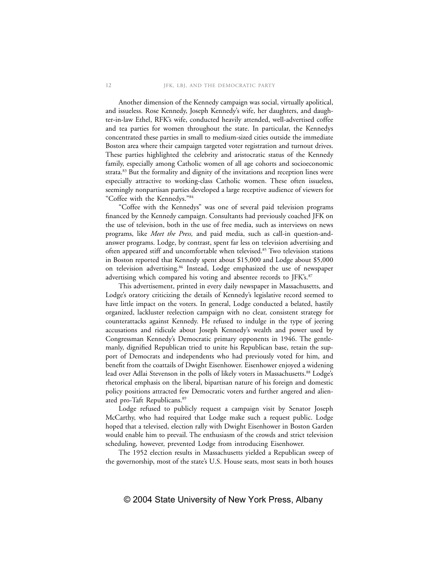Another dimension of the Kennedy campaign was social, virtually apolitical, and issueless. Rose Kennedy, Joseph Kennedy's wife, her daughters, and daughter-in-law Ethel, RFK's wife, conducted heavily attended, well-advertised coffee and tea parties for women throughout the state. In particular, the Kennedys concentrated these parties in small to medium-sized cities outside the immediate Boston area where their campaign targeted voter registration and turnout drives. These parties highlighted the celebrity and aristocratic status of the Kennedy family, especially among Catholic women of all age cohorts and socioeconomic strata.<sup>83</sup> But the formality and dignity of the invitations and reception lines were especially attractive to working-class Catholic women. These often issueless, seemingly nonpartisan parties developed a large receptive audience of viewers for "Coffee with the Kennedys."84

"Coffee with the Kennedys" was one of several paid television programs financed by the Kennedy campaign. Consultants had previously coached JFK on the use of television, both in the use of free media, such as interviews on news programs, like *Meet the Press,* and paid media, such as call-in question-andanswer programs. Lodge, by contrast, spent far less on television advertising and often appeared stiff and uncomfortable when televised.<sup>85</sup> Two television stations in Boston reported that Kennedy spent about \$15,000 and Lodge about \$5,000 on television advertising.<sup>86</sup> Instead, Lodge emphasized the use of newspaper advertising which compared his voting and absentee records to JFK's.<sup>87</sup>

This advertisement, printed in every daily newspaper in Massachusetts, and Lodge's oratory criticizing the details of Kennedy's legislative record seemed to have little impact on the voters. In general, Lodge conducted a belated, hastily organized, lackluster reelection campaign with no clear, consistent strategy for counterattacks against Kennedy. He refused to indulge in the type of jeering accusations and ridicule about Joseph Kennedy's wealth and power used by Congressman Kennedy's Democratic primary opponents in 1946. The gentlemanly, dignified Republican tried to unite his Republican base, retain the support of Democrats and independents who had previously voted for him, and benefit from the coattails of Dwight Eisenhower. Eisenhower enjoyed a widening lead over Adlai Stevenson in the polls of likely voters in Massachusetts.<sup>88</sup> Lodge's rhetorical emphasis on the liberal, bipartisan nature of his foreign and domestic policy positions attracted few Democratic voters and further angered and alienated pro-Taft Republicans.<sup>89</sup>

Lodge refused to publicly request a campaign visit by Senator Joseph McCarthy, who had required that Lodge make such a request public. Lodge hoped that a televised, election rally with Dwight Eisenhower in Boston Garden would enable him to prevail. The enthusiasm of the crowds and strict television scheduling, however, prevented Lodge from introducing Eisenhower.

The 1952 election results in Massachusetts yielded a Republican sweep of the governorship, most of the state's U.S. House seats, most seats in both houses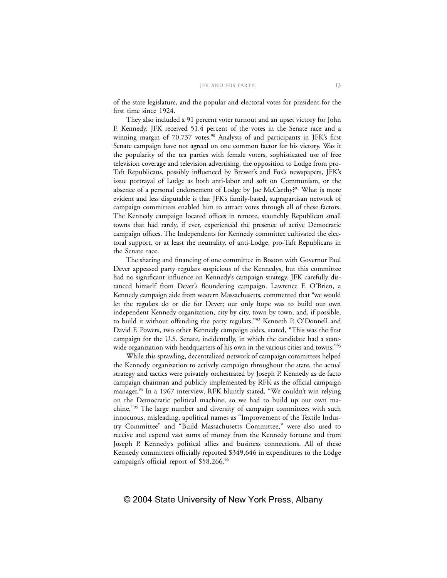of the state legislature, and the popular and electoral votes for president for the first time since 1924.

They also included a 91 percent voter turnout and an upset victory for John F. Kennedy. JFK received 51.4 percent of the votes in the Senate race and a winning margin of 70,737 votes.<sup>90</sup> Analysts of and participants in JFK's first Senate campaign have not agreed on one common factor for his victory. Was it the popularity of the tea parties with female voters, sophisticated use of free television coverage and television advertising, the opposition to Lodge from pro-Taft Republicans, possibly influenced by Brewer's and Fox's newspapers, JFK's issue portrayal of Lodge as both anti-labor and soft on Communism, or the absence of a personal endorsement of Lodge by Joe McCarthy?<sup>91</sup> What is more evident and less disputable is that JFK's family-based, suprapartisan network of campaign committees enabled him to attract votes through all of these factors. The Kennedy campaign located offices in remote, staunchly Republican small towns that had rarely, if ever, experienced the presence of active Democratic campaign offices. The Independents for Kennedy committee cultivated the electoral support, or at least the neutrality, of anti-Lodge, pro-Taft Republicans in the Senate race.

The sharing and financing of one committee in Boston with Governor Paul Dever appeased party regulars suspicious of the Kennedys, but this committee had no significant influence on Kennedy's campaign strategy. JFK carefully distanced himself from Dever's floundering campaign. Lawrence F. O'Brien, a Kennedy campaign aide from western Massachusetts, commented that "we would let the regulars do or die for Dever; our only hope was to build our own independent Kennedy organization, city by city, town by town, and, if possible, to build it without offending the party regulars."92 Kenneth P. O'Donnell and David F. Powers, two other Kennedy campaign aides, stated, "This was the first campaign for the U.S. Senate, incidentally, in which the candidate had a statewide organization with headquarters of his own in the various cities and towns."<sup>93</sup>

While this sprawling, decentralized network of campaign committees helped the Kennedy organization to actively campaign throughout the state, the actual strategy and tactics were privately orchestrated by Joseph P. Kennedy as de facto campaign chairman and publicly implemented by RFK as the official campaign manager.<sup>94</sup> In a 1967 interview, RFK bluntly stated, "We couldn't win relying on the Democratic political machine, so we had to build up our own machine."95 The large number and diversity of campaign committees with such innocuous, misleading, apolitical names as "Improvement of the Textile Industry Committee" and "Build Massachusetts Committee," were also used to receive and expend vast sums of money from the Kennedy fortune and from Joseph P. Kennedy's political allies and business connections. All of these Kennedy committees officially reported \$349,646 in expenditures to the Lodge campaign's official report of \$58,266.96

## © 2004 State University of New York Press, Albany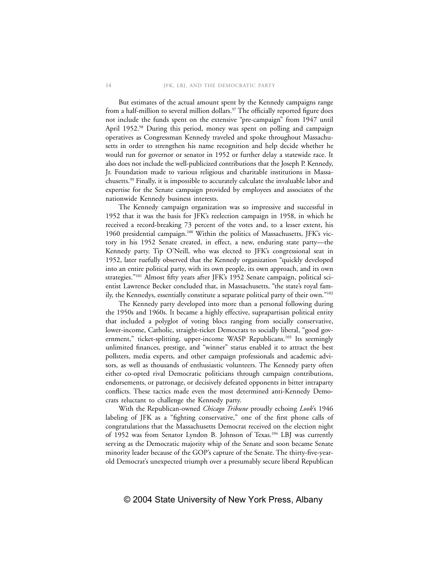But estimates of the actual amount spent by the Kennedy campaigns range from a half-million to several million dollars.<sup>97</sup> The officially reported figure does not include the funds spent on the extensive "pre-campaign" from 1947 until April 1952.<sup>98</sup> During this period, money was spent on polling and campaign operatives as Congressman Kennedy traveled and spoke throughout Massachusetts in order to strengthen his name recognition and help decide whether he would run for governor or senator in 1952 or further delay a statewide race. It also does not include the well-publicized contributions that the Joseph P. Kennedy, Jr. Foundation made to various religious and charitable institutions in Massachusetts.99 Finally, it is impossible to accurately calculate the invaluable labor and expertise for the Senate campaign provided by employees and associates of the nationwide Kennedy business interests.

The Kennedy campaign organization was so impressive and successful in 1952 that it was the basis for JFK's reelection campaign in 1958, in which he received a record-breaking 73 percent of the votes and, to a lesser extent, his 1960 presidential campaign.100 Within the politics of Massachusetts, JFK's victory in his 1952 Senate created, in effect, a new, enduring state party—the Kennedy party. Tip O'Neill, who was elected to JFK's congressional seat in 1952, later ruefully observed that the Kennedy organization "quickly developed into an entire political party, with its own people, its own approach, and its own strategies."101 Almost fifty years after JFK's 1952 Senate campaign, political scientist Lawrence Becker concluded that, in Massachusetts, "the state's royal family, the Kennedys, essentially constitute a separate political party of their own."102

The Kennedy party developed into more than a personal following during the 1950s and 1960s. It became a highly effective, suprapartisan political entity that included a polyglot of voting blocs ranging from socially conservative, lower-income, Catholic, straight-ticket Democrats to socially liberal, "good government," ticket-splitting, upper-income WASP Republicans.<sup>103</sup> Its seemingly unlimited finances, prestige, and "winner" status enabled it to attract the best pollsters, media experts, and other campaign professionals and academic advisors, as well as thousands of enthusiastic volunteers. The Kennedy party often either co-opted rival Democratic politicians through campaign contributions, endorsements, or patronage, or decisively defeated opponents in bitter intraparty conflicts. These tactics made even the most determined anti-Kennedy Democrats reluctant to challenge the Kennedy party.

With the Republican-owned *Chicago Tribune* proudly echoing *Look*'s 1946 labeling of JFK as a "fighting conservative," one of the first phone calls of congratulations that the Massachusetts Democrat received on the election night of 1952 was from Senator Lyndon B. Johnson of Texas.104 LBJ was currently serving as the Democratic majority whip of the Senate and soon became Senate minority leader because of the GOP's capture of the Senate. The thirty-five-yearold Democrat's unexpected triumph over a presumably secure liberal Republican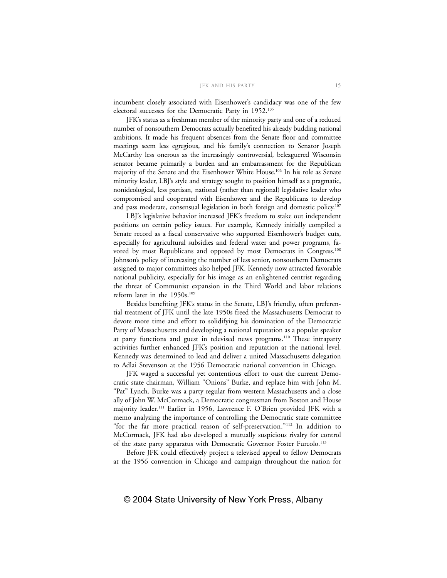incumbent closely associated with Eisenhower's candidacy was one of the few electoral successes for the Democratic Party in 1952.<sup>105</sup>

JFK's status as a freshman member of the minority party and one of a reduced number of nonsouthern Democrats actually benefited his already budding national ambitions. It made his frequent absences from the Senate floor and committee meetings seem less egregious, and his family's connection to Senator Joseph McCarthy less onerous as the increasingly controversial, beleaguered Wisconsin senator became primarily a burden and an embarrassment for the Republican majority of the Senate and the Eisenhower White House.106 In his role as Senate minority leader, LBJ's style and strategy sought to position himself as a pragmatic, nonideological, less partisan, national (rather than regional) legislative leader who compromised and cooperated with Eisenhower and the Republicans to develop and pass moderate, consensual legislation in both foreign and domestic policy.107

LBJ's legislative behavior increased JFK's freedom to stake out independent positions on certain policy issues. For example, Kennedy initially compiled a Senate record as a fiscal conservative who supported Eisenhower's budget cuts, especially for agricultural subsidies and federal water and power programs, favored by most Republicans and opposed by most Democrats in Congress.<sup>108</sup> Johnson's policy of increasing the number of less senior, nonsouthern Democrats assigned to major committees also helped JFK. Kennedy now attracted favorable national publicity, especially for his image as an enlightened centrist regarding the threat of Communist expansion in the Third World and labor relations reform later in the 1950s.<sup>109</sup>

Besides benefiting JFK's status in the Senate, LBJ's friendly, often preferential treatment of JFK until the late 1950s freed the Massachusetts Democrat to devote more time and effort to solidifying his domination of the Democratic Party of Massachusetts and developing a national reputation as a popular speaker at party functions and guest in televised news programs.<sup>110</sup> These intraparty activities further enhanced JFK's position and reputation at the national level. Kennedy was determined to lead and deliver a united Massachusetts delegation to Adlai Stevenson at the 1956 Democratic national convention in Chicago.

JFK waged a successful yet contentious effort to oust the current Democratic state chairman, William "Onions" Burke, and replace him with John M. "Pat" Lynch. Burke was a party regular from western Massachusetts and a close ally of John W. McCormack, a Democratic congressman from Boston and House majority leader.111 Earlier in 1956, Lawrence F. O'Brien provided JFK with a memo analyzing the importance of controlling the Democratic state committee "for the far more practical reason of self-preservation."112 In addition to McCormack, JFK had also developed a mutually suspicious rivalry for control of the state party apparatus with Democratic Governor Foster Furcolo.<sup>113</sup>

Before JFK could effectively project a televised appeal to fellow Democrats at the 1956 convention in Chicago and campaign throughout the nation for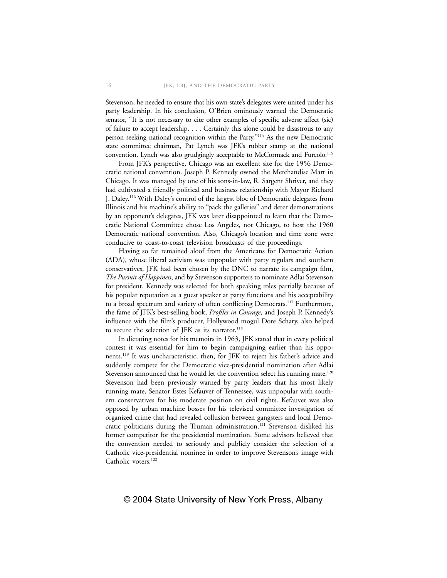Stevenson, he needed to ensure that his own state's delegates were united under his party leadership. In his conclusion, O'Brien ominously warned the Democratic senator, "It is not necessary to cite other examples of specific adverse affect (sic) of failure to accept leadership. . . . Certainly this alone could be disastrous to any person seeking national recognition within the Party."114 As the new Democratic state committee chairman, Pat Lynch was JFK's rubber stamp at the national convention. Lynch was also grudgingly acceptable to McCormack and Furcolo.<sup>115</sup>

From JFK's perspective, Chicago was an excellent site for the 1956 Democratic national convention. Joseph P. Kennedy owned the Merchandise Mart in Chicago. It was managed by one of his sons-in-law, R. Sargent Shriver, and they had cultivated a friendly political and business relationship with Mayor Richard J. Daley.116 With Daley's control of the largest bloc of Democratic delegates from Illinois and his machine's ability to "pack the galleries" and deter demonstrations by an opponent's delegates, JFK was later disappointed to learn that the Democratic National Committee chose Los Angeles, not Chicago, to host the 1960 Democratic national convention. Also, Chicago's location and time zone were conducive to coast-to-coast television broadcasts of the proceedings.

Having so far remained aloof from the Americans for Democratic Action (ADA), whose liberal activism was unpopular with party regulars and southern conservatives, JFK had been chosen by the DNC to narrate its campaign film, *The Pursuit of Happiness*, and by Stevenson supporters to nominate Adlai Stevenson for president. Kennedy was selected for both speaking roles partially because of his popular reputation as a guest speaker at party functions and his acceptability to a broad spectrum and variety of often conflicting Democrats.<sup>117</sup> Furthermore, the fame of JFK's best-selling book, *Profiles in Courage*, and Joseph P. Kennedy's influence with the film's producer, Hollywood mogul Dore Schary, also helped to secure the selection of JFK as its narrator.<sup>118</sup>

In dictating notes for his memoirs in 1963, JFK stated that in every political contest it was essential for him to begin campaigning earlier than his opponents.119 It was uncharacteristic, then, for JFK to reject his father's advice and suddenly compete for the Democratic vice-presidential nomination after Adlai Stevenson announced that he would let the convention select his running mate.<sup>120</sup> Stevenson had been previously warned by party leaders that his most likely running mate, Senator Estes Kefauver of Tennessee, was unpopular with southern conservatives for his moderate position on civil rights. Kefauver was also opposed by urban machine bosses for his televised committee investigation of organized crime that had revealed collusion between gangsters and local Democratic politicians during the Truman administration.<sup>121</sup> Stevenson disliked his former competitor for the presidential nomination. Some advisors believed that the convention needed to seriously and publicly consider the selection of a Catholic vice-presidential nominee in order to improve Stevenson's image with Catholic voters.<sup>122</sup>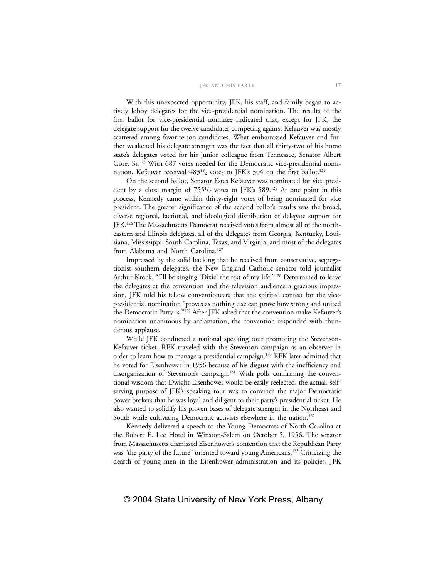With this unexpected opportunity, JFK, his staff, and family began to actively lobby delegates for the vice-presidential nomination. The results of the first ballot for vice-presidential nominee indicated that, except for JFK, the delegate support for the twelve candidates competing against Kefauver was mostly scattered among favorite-son candidates. What embarrassed Kefauver and further weakened his delegate strength was the fact that all thirty-two of his home state's delegates voted for his junior colleague from Tennessee, Senator Albert Gore, Sr.<sup>123</sup> With 687 votes needed for the Democratic vice-presidential nomination, Kefauver received  $483^{1\prime}_{2}$  votes to JFK's 304 on the first ballot. $^{124}$ 

On the second ballot, Senator Estes Kefauver was nominated for vice president by a close margin of 7551 /2 votes to JFK's 589.125 At one point in this process, Kennedy came within thirty-eight votes of being nominated for vice president. The greater significance of the second ballot's results was the broad, diverse regional, factional, and ideological distribution of delegate support for JFK.126 The Massachusetts Democrat received votes from almost all of the northeastern and Illinois delegates, all of the delegates from Georgia, Kentucky, Louisiana, Mississippi, South Carolina, Texas, and Virginia, and most of the delegates from Alabama and North Carolina.<sup>127</sup>

Impressed by the solid backing that he received from conservative, segregationist southern delegates, the New England Catholic senator told journalist Arthur Krock, "I'll be singing 'Dixie' the rest of my life."128 Determined to leave the delegates at the convention and the television audience a gracious impression, JFK told his fellow conventioneers that the spirited contest for the vicepresidential nomination "proves as nothing else can prove how strong and united the Democratic Party is."129 After JFK asked that the convention make Kefauver's nomination unanimous by acclamation, the convention responded with thunderous applause.

While JFK conducted a national speaking tour promoting the Stevenson-Kefauver ticket, RFK traveled with the Stevenson campaign as an observer in order to learn how to manage a presidential campaign.<sup>130</sup> RFK later admitted that he voted for Eisenhower in 1956 because of his disgust with the inefficiency and disorganization of Stevenson's campaign.131 With polls confirming the conventional wisdom that Dwight Eisenhower would be easily reelected, the actual, selfserving purpose of JFK's speaking tour was to convince the major Democratic power brokers that he was loyal and diligent to their party's presidential ticket. He also wanted to solidify his proven bases of delegate strength in the Northeast and South while cultivating Democratic activists elsewhere in the nation.<sup>132</sup>

Kennedy delivered a speech to the Young Democrats of North Carolina at the Robert E. Lee Hotel in Winston-Salem on October 5, 1956. The senator from Massachusetts dismissed Eisenhower's contention that the Republican Party was "the party of the future" oriented toward young Americans.133 Criticizing the dearth of young men in the Eisenhower administration and its policies, JFK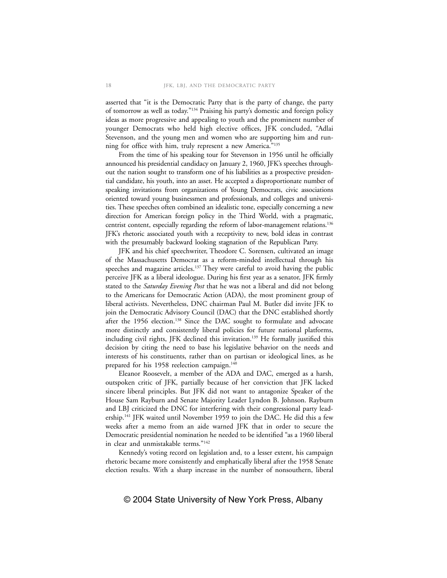asserted that "it is the Democratic Party that is the party of change, the party of tomorrow as well as today."134 Praising his party's domestic and foreign policy ideas as more progressive and appealing to youth and the prominent number of younger Democrats who held high elective offices, JFK concluded, "Adlai Stevenson, and the young men and women who are supporting him and running for office with him, truly represent a new America."135

From the time of his speaking tour for Stevenson in 1956 until he officially announced his presidential candidacy on January 2, 1960, JFK's speeches throughout the nation sought to transform one of his liabilities as a prospective presidential candidate, his youth, into an asset. He accepted a disproportionate number of speaking invitations from organizations of Young Democrats, civic associations oriented toward young businessmen and professionals, and colleges and universities. These speeches often combined an idealistic tone, especially concerning a new direction for American foreign policy in the Third World, with a pragmatic, centrist content, especially regarding the reform of labor-management relations.136 JFK's rhetoric associated youth with a receptivity to new, bold ideas in contrast with the presumably backward looking stagnation of the Republican Party.

JFK and his chief speechwriter, Theodore C. Sorensen, cultivated an image of the Massachusetts Democrat as a reform-minded intellectual through his speeches and magazine articles.<sup>137</sup> They were careful to avoid having the public perceive JFK as a liberal ideologue. During his first year as a senator, JFK firmly stated to the *Saturday Evening Post* that he was not a liberal and did not belong to the Americans for Democratic Action (ADA), the most prominent group of liberal activists. Nevertheless, DNC chairman Paul M. Butler did invite JFK to join the Democratic Advisory Council (DAC) that the DNC established shortly after the 1956 election.<sup>138</sup> Since the DAC sought to formulate and advocate more distinctly and consistently liberal policies for future national platforms, including civil rights, JFK declined this invitation.<sup>139</sup> He formally justified this decision by citing the need to base his legislative behavior on the needs and interests of his constituents, rather than on partisan or ideological lines, as he prepared for his 1958 reelection campaign.<sup>140</sup>

Eleanor Roosevelt, a member of the ADA and DAC, emerged as a harsh, outspoken critic of JFK, partially because of her conviction that JFK lacked sincere liberal principles. But JFK did not want to antagonize Speaker of the House Sam Rayburn and Senate Majority Leader Lyndon B. Johnson. Rayburn and LBJ criticized the DNC for interfering with their congressional party leadership.<sup>141</sup> JFK waited until November 1959 to join the DAC. He did this a few weeks after a memo from an aide warned JFK that in order to secure the Democratic presidential nomination he needed to be identified "as a 1960 liberal in clear and unmistakable terms."142

Kennedy's voting record on legislation and, to a lesser extent, his campaign rhetoric became more consistently and emphatically liberal after the 1958 Senate election results. With a sharp increase in the number of nonsouthern, liberal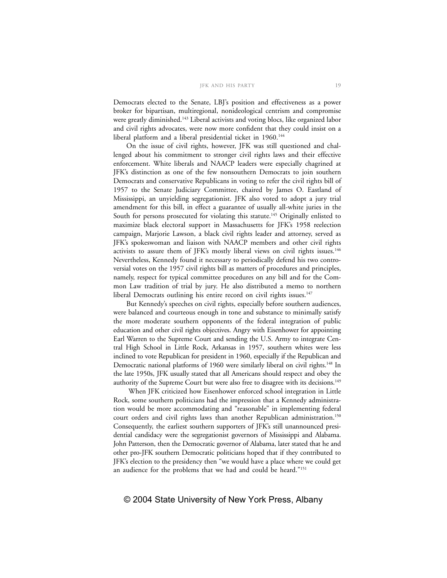Democrats elected to the Senate, LBJ's position and effectiveness as a power broker for bipartisan, multiregional, nonideological centrism and compromise were greatly diminished.<sup>143</sup> Liberal activists and voting blocs, like organized labor and civil rights advocates, were now more confident that they could insist on a liberal platform and a liberal presidential ticket in 1960.<sup>144</sup>

On the issue of civil rights, however, JFK was still questioned and challenged about his commitment to stronger civil rights laws and their effective enforcement. White liberals and NAACP leaders were especially chagrined at JFK's distinction as one of the few nonsouthern Democrats to join southern Democrats and conservative Republicans in voting to refer the civil rights bill of 1957 to the Senate Judiciary Committee, chaired by James O. Eastland of Mississippi, an unyielding segregationist. JFK also voted to adopt a jury trial amendment for this bill, in effect a guarantee of usually all-white juries in the South for persons prosecuted for violating this statute.<sup>145</sup> Originally enlisted to maximize black electoral support in Massachusetts for JFK's 1958 reelection campaign, Marjorie Lawson, a black civil rights leader and attorney, served as JFK's spokeswoman and liaison with NAACP members and other civil rights activists to assure them of JFK's mostly liberal views on civil rights issues.<sup>146</sup> Nevertheless, Kennedy found it necessary to periodically defend his two controversial votes on the 1957 civil rights bill as matters of procedures and principles, namely, respect for typical committee procedures on any bill and for the Common Law tradition of trial by jury. He also distributed a memo to northern liberal Democrats outlining his entire record on civil rights issues.<sup>147</sup>

But Kennedy's speeches on civil rights, especially before southern audiences, were balanced and courteous enough in tone and substance to minimally satisfy the more moderate southern opponents of the federal integration of public education and other civil rights objectives. Angry with Eisenhower for appointing Earl Warren to the Supreme Court and sending the U.S. Army to integrate Central High School in Little Rock, Arkansas in 1957, southern whites were less inclined to vote Republican for president in 1960, especially if the Republican and Democratic national platforms of 1960 were similarly liberal on civil rights.<sup>148</sup> In the late 1950s, JFK usually stated that all Americans should respect and obey the authority of the Supreme Court but were also free to disagree with its decisions.<sup>149</sup>

When JFK criticized how Eisenhower enforced school integration in Little Rock, some southern politicians had the impression that a Kennedy administration would be more accommodating and "reasonable" in implementing federal court orders and civil rights laws than another Republican administration.<sup>150</sup> Consequently, the earliest southern supporters of JFK's still unannounced presidential candidacy were the segregationist governors of Mississippi and Alabama. John Patterson, then the Democratic governor of Alabama, later stated that he and other pro-JFK southern Democratic politicians hoped that if they contributed to JFK's election to the presidency then "we would have a place where we could get an audience for the problems that we had and could be heard."151